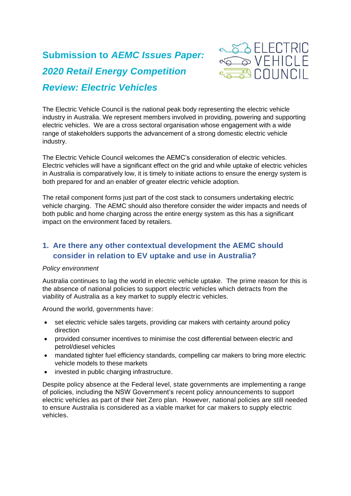# **Submission to** *AEMC Issues Paper: 2020 Retail Energy Competition Review: Electric Vehicles*



The Electric Vehicle Council is the national peak body representing the electric vehicle industry in Australia. We represent members involved in providing, powering and supporting electric vehicles. We are a cross sectoral organisation whose engagement with a wide range of stakeholders supports the advancement of a strong domestic electric vehicle industry.

The Electric Vehicle Council welcomes the AEMC's consideration of electric vehicles. Electric vehicles will have a significant effect on the grid and while uptake of electric vehicles in Australia is comparatively low, it is timely to initiate actions to ensure the energy system is both prepared for and an enabler of greater electric vehicle adoption.

The retail component forms just part of the cost stack to consumers undertaking electric vehicle charging. The AEMC should also therefore consider the wider impacts and needs of both public and home charging across the entire energy system as this has a significant impact on the environment faced by retailers.

# **1. Are there any other contextual development the AEMC should consider in relation to EV uptake and use in Australia?**

#### *Policy environment*

Australia continues to lag the world in electric vehicle uptake. The prime reason for this is the absence of national policies to support electric vehicles which detracts from the viability of Australia as a key market to supply electric vehicles.

Around the world, governments have:

- set electric vehicle sales targets, providing car makers with certainty around policy direction
- provided consumer incentives to minimise the cost differential between electric and petrol/diesel vehicles
- mandated tighter fuel efficiency standards, compelling car makers to bring more electric vehicle models to these markets
- invested in public charging infrastructure.

Despite policy absence at the Federal level, state governments are implementing a range of policies, including the NSW Government's recent policy announcements to support electric vehicles as part of their Net Zero plan. However, national policies are still needed to ensure Australia is considered as a viable market for car makers to supply electric vehicles.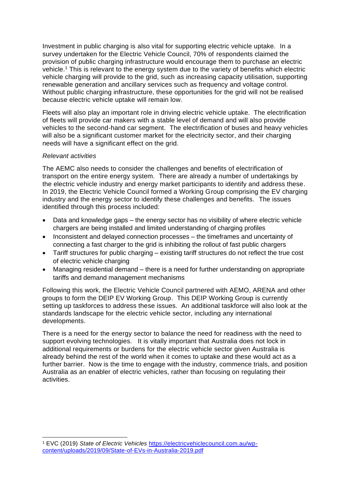Investment in public charging is also vital for supporting electric vehicle uptake. In a survey undertaken for the Electric Vehicle Council, 70% of respondents claimed the provision of public charging infrastructure would encourage them to purchase an electric vehicle.<sup>1</sup> This is relevant to the energy system due to the variety of benefits which electric vehicle charging will provide to the grid, such as increasing capacity utilisation, supporting renewable generation and ancillary services such as frequency and voltage control. Without public charging infrastructure, these opportunities for the grid will not be realised because electric vehicle uptake will remain low.

Fleets will also play an important role in driving electric vehicle uptake. The electrification of fleets will provide car makers with a stable level of demand and will also provide vehicles to the second-hand car segment. The electrification of buses and heavy vehicles will also be a significant customer market for the electricity sector, and their charging needs will have a significant effect on the grid.

#### *Relevant activities*

The AEMC also needs to consider the challenges and benefits of electrification of transport on the entire energy system. There are already a number of undertakings by the electric vehicle industry and energy market participants to identify and address these. In 2019, the Electric Vehicle Council formed a Working Group comprising the EV charging industry and the energy sector to identify these challenges and benefits. The issues identified through this process included:

- Data and knowledge gaps the energy sector has no visibility of where electric vehicle chargers are being installed and limited understanding of charging profiles
- Inconsistent and delayed connection processes the timeframes and uncertainty of connecting a fast charger to the grid is inhibiting the rollout of fast public chargers
- Tariff structures for public charging existing tariff structures do not reflect the true cost of electric vehicle charging
- Managing residential demand there is a need for further understanding on appropriate tariffs and demand management mechanisms

Following this work, the Electric Vehicle Council partnered with AEMO, ARENA and other groups to form the DEIP EV Working Group. This DEIP Working Group is currently setting up taskforces to address these issues. An additional taskforce will also look at the standards landscape for the electric vehicle sector, including any international developments.

There is a need for the energy sector to balance the need for readiness with the need to support evolving technologies. It is vitally important that Australia does not lock in additional requirements or burdens for the electric vehicle sector given Australia is already behind the rest of the world when it comes to uptake and these would act as a further barrier. Now is the time to engage with the industry, commence trials, and position Australia as an enabler of electric vehicles, rather than focusing on regulating their activities.

<sup>1</sup> EVC (2019) *State of Electric Vehicles* [https://electricvehiclecouncil.com.au/wp](https://electricvehiclecouncil.com.au/wp-content/uploads/2019/09/State-of-EVs-in-Australia-2019.pdf)[content/uploads/2019/09/State-of-EVs-in-Australia-2019.pdf](https://electricvehiclecouncil.com.au/wp-content/uploads/2019/09/State-of-EVs-in-Australia-2019.pdf)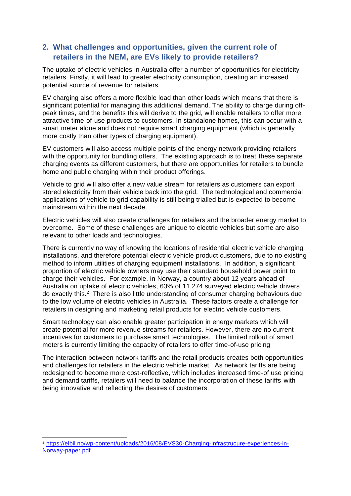## **2. What challenges and opportunities, given the current role of retailers in the NEM, are EVs likely to provide retailers?**

The uptake of electric vehicles in Australia offer a number of opportunities for electricity retailers. Firstly, it will lead to greater electricity consumption, creating an increased potential source of revenue for retailers.

EV charging also offers a more flexible load than other loads which means that there is significant potential for managing this additional demand. The ability to charge during offpeak times, and the benefits this will derive to the grid, will enable retailers to offer more attractive time-of-use products to customers. In standalone homes, this can occur with a smart meter alone and does not require smart charging equipment (which is generally more costly than other types of charging equipment).

EV customers will also access multiple points of the energy network providing retailers with the opportunity for bundling offers. The existing approach is to treat these separate charging events as different customers, but there are opportunities for retailers to bundle home and public charging within their product offerings.

Vehicle to grid will also offer a new value stream for retailers as customers can export stored electricity from their vehicle back into the grid. The technological and commercial applications of vehicle to grid capability is still being trialled but is expected to become mainstream within the next decade.

Electric vehicles will also create challenges for retailers and the broader energy market to overcome. Some of these challenges are unique to electric vehicles but some are also relevant to other loads and technologies.

There is currently no way of knowing the locations of residential electric vehicle charging installations, and therefore potential electric vehicle product customers, due to no existing method to inform utilities of charging equipment installations. In addition, a significant proportion of electric vehicle owners may use their standard household power point to charge their vehicles. For example, in Norway, a country about 12 years ahead of Australia on uptake of electric vehicles, 63% of 11,274 surveyed electric vehicle drivers do exactly this.<sup>2</sup> There is also little understanding of consumer charging behaviours due to the low volume of electric vehicles in Australia. These factors create a challenge for retailers in designing and marketing retail products for electric vehicle customers.

Smart technology can also enable greater participation in energy markets which will create potential for more revenue streams for retailers. However, there are no current incentives for customers to purchase smart technologies. The limited rollout of smart meters is currently limiting the capacity of retailers to offer time-of-use pricing

The interaction between network tariffs and the retail products creates both opportunities and challenges for retailers in the electric vehicle market. As network tariffs are being redesigned to become more cost-reflective, which includes increased time-of use pricing and demand tariffs, retailers will need to balance the incorporation of these tariffs with being innovative and reflecting the desires of customers.

<sup>2</sup> [https://elbil.no/wp-content/uploads/2016/08/EVS30-Charging-infrastrucure-experiences-in-](https://elbil.no/wp-content/uploads/2016/08/EVS30-Charging-infrastrucure-experiences-in-Norway-paper.pdf)[Norway-paper.pdf](https://elbil.no/wp-content/uploads/2016/08/EVS30-Charging-infrastrucure-experiences-in-Norway-paper.pdf)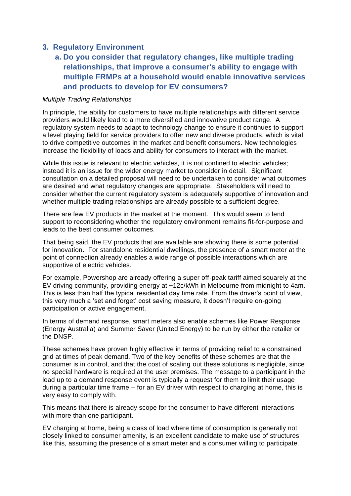## **3. Regulatory Environment**

# **a. Do you consider that regulatory changes, like multiple trading relationships, that improve a consumer's ability to engage with multiple FRMPs at a household would enable innovative services and products to develop for EV consumers?**

#### *Multiple Trading Relationships*

In principle, the ability for customers to have multiple relationships with different service providers would likely lead to a more diversified and innovative product range. A regulatory system needs to adapt to technology change to ensure it continues to support a level playing field for service providers to offer new and diverse products, which is vital to drive competitive outcomes in the market and benefit consumers. New technologies increase the flexibility of loads and ability for consumers to interact with the market.

While this issue is relevant to electric vehicles, it is not confined to electric vehicles; instead it is an issue for the wider energy market to consider in detail. Significant consultation on a detailed proposal will need to be undertaken to consider what outcomes are desired and what regulatory changes are appropriate. Stakeholders will need to consider whether the current regulatory system is adequately supportive of innovation and whether multiple trading relationships are already possible to a sufficient degree.

There are few EV products in the market at the moment. This would seem to lend support to reconsidering whether the regulatory environment remains fit-for-purpose and leads to the best consumer outcomes.

That being said, the EV products that are available are showing there is some potential for innovation. For standalone residential dwellings, the presence of a smart meter at the point of connection already enables a wide range of possible interactions which are supportive of electric vehicles.

For example, Powershop are already offering a super off-peak tariff aimed squarely at the EV driving community, providing energy at ~12c/kWh in Melbourne from midnight to 4am. This is less than half the typical residential day time rate. From the driver's point of view, this very much a 'set and forget' cost saving measure, it doesn't require on-going participation or active engagement.

In terms of demand response, smart meters also enable schemes like Power Response (Energy Australia) and Summer Saver (United Energy) to be run by either the retailer or the DNSP.

These schemes have proven highly effective in terms of providing relief to a constrained grid at times of peak demand. Two of the key benefits of these schemes are that the consumer is in control, and that the cost of scaling out these solutions is negligible, since no special hardware is required at the user premises. The message to a participant in the lead up to a demand response event is typically a request for them to limit their usage during a particular time frame – for an EV driver with respect to charging at home, this is very easy to comply with.

This means that there is already scope for the consumer to have different interactions with more than one participant.

EV charging at home, being a class of load where time of consumption is generally not closely linked to consumer amenity, is an excellent candidate to make use of structures like this, assuming the presence of a smart meter and a consumer willing to participate.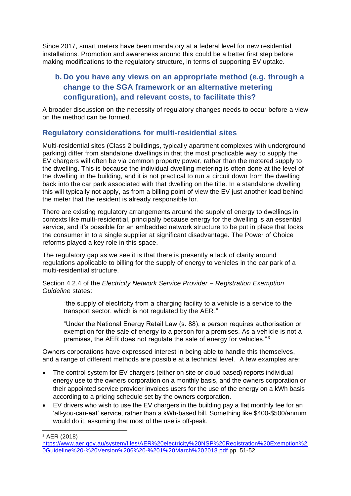Since 2017, smart meters have been mandatory at a federal level for new residential installations. Promotion and awareness around this could be a better first step before making modifications to the regulatory structure, in terms of supporting EV uptake.

# **b. Do you have any views on an appropriate method (e.g. through a change to the SGA framework or an alternative metering configuration), and relevant costs, to facilitate this?**

A broader discussion on the necessity of regulatory changes needs to occur before a view on the method can be formed.

## **Regulatory considerations for multi-residential sites**

Multi-residential sites (Class 2 buildings, typically apartment complexes with underground parking) differ from standalone dwellings in that the most practicable way to supply the EV chargers will often be via common property power, rather than the metered supply to the dwelling. This is because the individual dwelling metering is often done at the level of the dwelling in the building, and it is not practical to run a circuit down from the dwelling back into the car park associated with that dwelling on the title. In a standalone dwelling this will typically not apply, as from a billing point of view the EV just another load behind the meter that the resident is already responsible for.

There are existing regulatory arrangements around the supply of energy to dwellings in contexts like multi-residential, principally because energy for the dwelling is an essential service, and it's possible for an embedded network structure to be put in place that locks the consumer in to a single supplier at significant disadvantage. The Power of Choice reforms played a key role in this space.

The regulatory gap as we see it is that there is presently a lack of clarity around regulations applicable to billing for the supply of energy to vehicles in the car park of a multi-residential structure.

#### Section 4.2.4 of the *Electricity Network Service Provider – Registration Exemption Guideline* states:

"the supply of electricity from a charging facility to a vehicle is a service to the transport sector, which is not regulated by the AER."

"Under the National Energy Retail Law (s. 88), a person requires authorisation or exemption for the sale of energy to a person for a premises. As a vehicle is not a premises, the AER does not regulate the sale of energy for vehicles." <sup>3</sup>

Owners corporations have expressed interest in being able to handle this themselves, and a range of different methods are possible at a technical level. A few examples are:

- The control system for EV chargers (either on site or cloud based) reports individual energy use to the owners corporation on a monthly basis, and the owners corporation or their appointed service provider invoices users for the use of the energy on a kWh basis according to a pricing schedule set by the owners corporation.
- EV drivers who wish to use the EV chargers in the building pay a flat monthly fee for an 'all-you-can-eat' service, rather than a kWh-based bill. Something like \$400-\$500/annum would do it, assuming that most of the use is off-peak.

<sup>3</sup> AER (2018)

[https://www.aer.gov.au/system/files/AER%20electricity%20NSP%20Registration%20Exemption%2](https://www.aer.gov.au/system/files/AER%20electricity%20NSP%20Registration%20Exemption%20Guideline%20-%20Version%206%20-%201%20March%202018.pdf) [0Guideline%20-%20Version%206%20-%201%20March%202018.pdf](https://www.aer.gov.au/system/files/AER%20electricity%20NSP%20Registration%20Exemption%20Guideline%20-%20Version%206%20-%201%20March%202018.pdf) pp. 51-52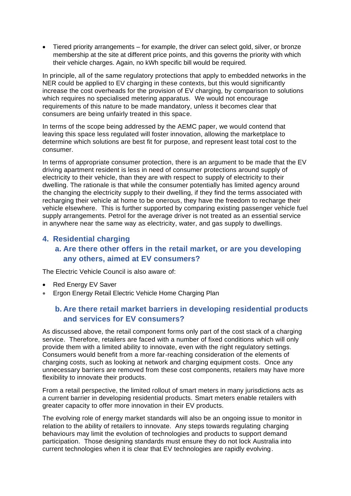• Tiered priority arrangements – for example, the driver can select gold, silver, or bronze membership at the site at different price points, and this governs the priority with which their vehicle charges. Again, no kWh specific bill would be required.

In principle, all of the same regulatory protections that apply to embedded networks in the NER could be applied to EV charging in these contexts, but this would significantly increase the cost overheads for the provision of EV charging, by comparison to solutions which requires no specialised metering apparatus. We would not encourage requirements of this nature to be made mandatory, unless it becomes clear that consumers are being unfairly treated in this space.

In terms of the scope being addressed by the AEMC paper, we would contend that leaving this space less regulated will foster innovation, allowing the marketplace to determine which solutions are best fit for purpose, and represent least total cost to the consumer.

In terms of appropriate consumer protection, there is an argument to be made that the EV driving apartment resident is less in need of consumer protections around supply of electricity to their vehicle, than they are with respect to supply of electricity to their dwelling. The rationale is that while the consumer potentially has limited agency around the changing the electricity supply to their dwelling, if they find the terms associated with recharging their vehicle at home to be onerous, they have the freedom to recharge their vehicle elsewhere. This is further supported by comparing existing passenger vehicle fuel supply arrangements. Petrol for the average driver is not treated as an essential service in anywhere near the same way as electricity, water, and gas supply to dwellings.

# **4. Residential charging a. Are there other offers in the retail market, or are you developing any others, aimed at EV consumers?**

The Electric Vehicle Council is also aware of:

- Red Energy EV Saver
- Ergon Energy Retail Electric Vehicle Home Charging Plan

# **b. Are there retail market barriers in developing residential products and services for EV consumers?**

As discussed above, the retail component forms only part of the cost stack of a charging service. Therefore, retailers are faced with a number of fixed conditions which will only provide them with a limited ability to innovate, even with the right regulatory settings. Consumers would benefit from a more far-reaching consideration of the elements of charging costs, such as looking at network and charging equipment costs. Once any unnecessary barriers are removed from these cost components, retailers may have more flexibility to innovate their products.

From a retail perspective, the limited rollout of smart meters in many jurisdictions acts as a current barrier in developing residential products. Smart meters enable retailers with greater capacity to offer more innovation in their EV products.

The evolving role of energy market standards will also be an ongoing issue to monitor in relation to the ability of retailers to innovate. Any steps towards regulating charging behaviours may limit the evolution of technologies and products to support demand participation. Those designing standards must ensure they do not lock Australia into current technologies when it is clear that EV technologies are rapidly evolving.